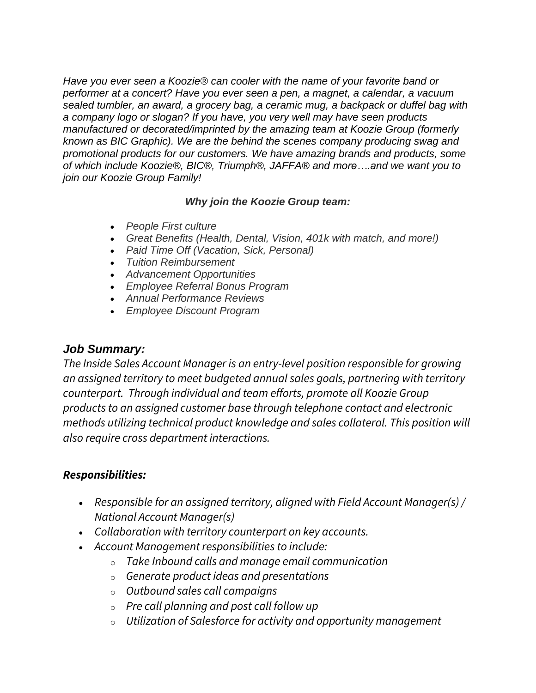*Have you ever seen a Koozie® can cooler with the name of your favorite band or performer at a concert? Have you ever seen a pen, a magnet, a calendar, a vacuum sealed tumbler, an award, a grocery bag, a ceramic mug, a backpack or duffel bag with a company logo or slogan? If you have, you very well may have seen products manufactured or decorated/imprinted by the amazing team at Koozie Group (formerly known as BIC Graphic). We are the behind the scenes company producing swag and promotional products for our customers. We have amazing brands and products, some of which include Koozie®, BIC®, Triumph®, JAFFA® and more….and we want you to join our Koozie Group Family!*

## *Why join the Koozie Group team:*

- *People First culture*
- *Great Benefits (Health, Dental, Vision, 401k with match, and more!)*
- *Paid Time Off (Vacation, Sick, Personal)*
- *Tuition Reimbursement*
- *Advancement Opportunities*
- *Employee Referral Bonus Program*
- *Annual Performance Reviews*
- *Employee Discount Program*

## *Job Summary:*

*The Inside Sales Account Manager is an entry-level position responsible for growing an assigned territory to meet budgeted annual sales goals, partnering with territory counterpart. Through individual and team efforts, promote all Koozie Group products to an assigned customer base through telephone contact and electronic methods utilizing technical product knowledge and sales collateral. This position will also require cross department interactions.*

## *Responsibilities:*

- *Responsible for an assigned territory, aligned with Field Account Manager(s) / National Account Manager(s)*
- *Collaboration with territory counterpart on key accounts.*
- *Account Management responsibilities to include:*
	- o *Take Inbound calls and manage email communication*
	- o *Generate product ideas and presentations*
	- o *Outbound sales call campaigns*
	- o *Pre call planning and post call follow up*
	- o *Utilization of Salesforce for activity and opportunity management*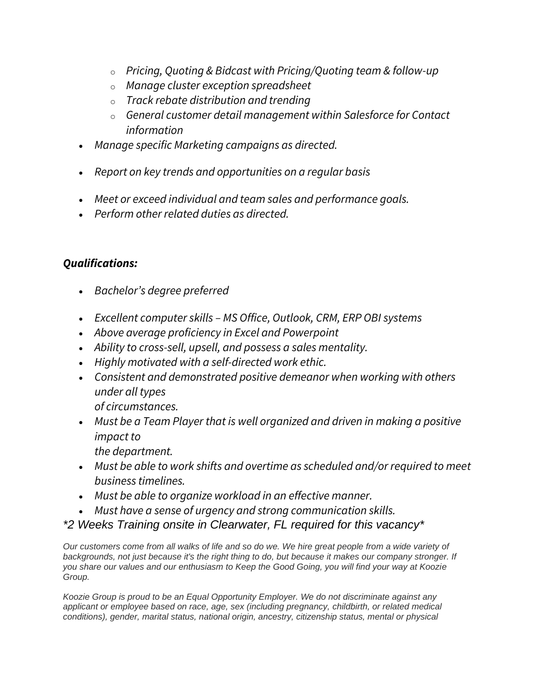- o *Pricing, Quoting & Bidcast with Pricing/Quoting team & follow-up*
- o *Manage cluster exception spreadsheet*
- o *Track rebate distribution and trending*
- o *General customer detail management within Salesforce for Contact information*
- *Manage specific Marketing campaigns as directed.*
- *Report on key trends and opportunities on a regular basis*
- *Meet or exceed individual and team sales and performance goals.*
- *Perform other related duties as directed.*

## *Qualifications:*

- *Bachelor's degree preferred*
- *Excellent computer skills – MS Office, Outlook, CRM, ERP OBI systems*
- *Above average proficiency in Excel and Powerpoint*
- *Ability to cross-sell, upsell, and possess a sales mentality.*
- *Highly motivated with a self-directed work ethic.*
- *Consistent and demonstrated positive demeanor when working with others under all types*
	- *of circumstances.*
- *Must be a Team Player that is well organized and driven in making a positive impact to*
	- *the department.*
- *Must be able to work shifts and overtime as scheduled and/or required to meet business timelines.*
- *Must be able to organize workload in an effective manner.*
- *Must have a sense of urgency and strong communication skills.*
- *\*2 Weeks Training onsite in Clearwater, FL required for this vacancy\**

*Our customers come from all walks of life and so do we. We hire great people from a wide variety of*  backgrounds, not just because it's the right thing to do, but because it makes our company stronger. If *you share our values and our enthusiasm to Keep the Good Going, you will find your way at Koozie Group.*

*Koozie Group is proud to be an Equal Opportunity Employer. We do not discriminate against any applicant or employee based on race, age, sex (including pregnancy, childbirth, or related medical conditions), gender, marital status, national origin, ancestry, citizenship status, mental or physical*